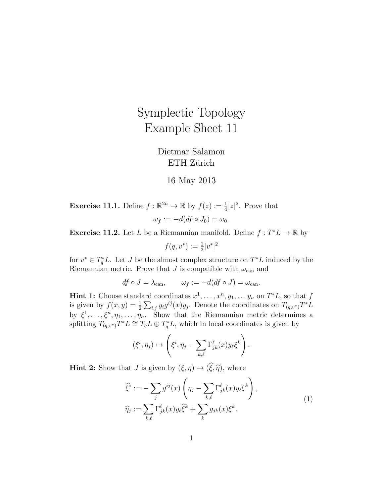## Symplectic Topology Example Sheet 11

Dietmar Salamon ETH Zürich

## 16 May 2013

**Exercise 11.1.** Define  $f : \mathbb{R}^{2n} \to \mathbb{R}$  by  $f(z) := \frac{1}{4}|z|^2$ . Prove that  $\omega_f := -d(df \circ J_0) = \omega_0.$ 

**Exercise 11.2.** Let L be a Riemannian manifold. Define  $f: T^*L \to \mathbb{R}$  by

 $f(q, v^*) := \frac{1}{2}|v^*|^2$ 

for  $v^* \in T_q^*L$ . Let J be the almost complex structure on  $T^*L$  induced by the Riemannian metric. Prove that J is compatible with  $\omega_{\text{can}}$  and

 $df \circ J = \lambda_{\text{can}}, \qquad \omega_f := -d(df \circ J) = \omega_{\text{can}}.$ 

**Hint 1:** Choose standard coordinates  $x^1, \ldots, x^n, y_1, \ldots, y_n$  on  $T^*L$ , so that f is given by  $f(x,y) = \frac{1}{2} \sum_{i,j} y_i g^{ij}(x) y_j$ . Denote the coordinates on  $T_{(q,v^*)} T^* L$ by  $\xi^1, \ldots, \xi^n, \eta_1, \ldots, \eta_n$ . Show that the Riemannian metric determines a splitting  $T_{(q,v^*)}T^*L \cong T_qL \oplus T_q^*L$ , which in local coordinates is given by

$$
(\xi^i, \eta_j) \mapsto \left(\xi^i, \eta_j - \sum_{k,\ell} \Gamma_{jk}^{\ell}(x) y_\ell \xi^k\right).
$$

**Hint 2:** Show that J is given by  $(\xi, \eta) \mapsto (\widehat{\xi}, \widehat{\eta})$ , where

$$
\widehat{\xi}^i := -\sum_j g^{ij}(x) \left( \eta_j - \sum_{k,\ell} \Gamma_{jk}^{\ell}(x) y_\ell \xi^k \right),
$$
  

$$
\widehat{\eta}_j := \sum_{k,\ell} \Gamma_{jk}^{\ell}(x) y_\ell \widehat{\xi}^k + \sum_k g_{jk}(x) \xi^k.
$$
 (1)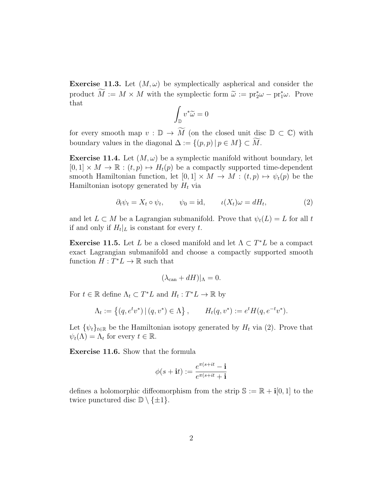**Exercise 11.3.** Let  $(M, \omega)$  be symplectically aspherical and consider the product  $\tilde{M} := M \times M$  with the symplectic form  $\tilde{\omega} := pr_2^* \omega - pr_1^* \omega$ . Prove that

$$
\int_{\mathbb{D}} v^* \widetilde{\omega} = 0
$$

for every smooth map  $v : \mathbb{D} \to \widetilde{M}$  (on the closed unit disc  $\mathbb{D} \subset \mathbb{C}$ ) with boundary values in the diagonal  $\Delta := \{(p, p) | p \in M\} \subset \widetilde{M}$ .

**Exercise 11.4.** Let  $(M, \omega)$  be a symplectic manifold without boundary, let  $[0,1] \times M \to \mathbb{R} : (t,p) \mapsto H_t(p)$  be a compactly supported time-dependent smooth Hamiltonian function, let  $[0, 1] \times M \to M : (t, p) \mapsto \psi_t(p)$  be the Hamiltonian isotopy generated by  $H_t$  via

$$
\partial_t \psi_t = X_t \circ \psi_t, \qquad \psi_0 = \text{id}, \qquad \iota(X_t)\omega = dH_t,\tag{2}
$$

and let  $L \subset M$  be a Lagrangian submanifold. Prove that  $\psi_t(L) = L$  for all t if and only if  $H_t|_L$  is constant for every t.

**Exercise 11.5.** Let L be a closed manifold and let  $\Lambda \subset T^*L$  be a compact exact Lagrangian submanifold and choose a compactly supported smooth function  $H: T^*L \to \mathbb{R}$  such that

$$
(\lambda_{\text{can}} + dH)|_{\Lambda} = 0.
$$

For  $t \in \mathbb{R}$  define  $\Lambda_t \subset T^*L$  and  $H_t: T^*L \to \mathbb{R}$  by

$$
\Lambda_t := \left\{ (q, e^t v^*) \, | \, (q, v^*) \in \Lambda \right\}, \qquad H_t(q, v^*) := e^t H(q, e^{-t} v^*).
$$

Let  $\{\psi_t\}_{t\in\mathbb{R}}$  be the Hamiltonian isotopy generated by  $H_t$  via (2). Prove that  $\psi_t(\Lambda) = \Lambda_t$  for every  $t \in \mathbb{R}$ .

Exercise 11.6. Show that the formula

$$
\phi(s+{\bf i}t):=\frac{e^{\pi(s+it}-{\bf i}}{e^{\pi(s+it}+{\bf i})}
$$

defines a holomorphic diffeomorphism from the strip  $\mathbb{S} := \mathbb{R} + i[0,1]$  to the twice punctured disc  $\mathbb{D} \setminus \{\pm 1\}.$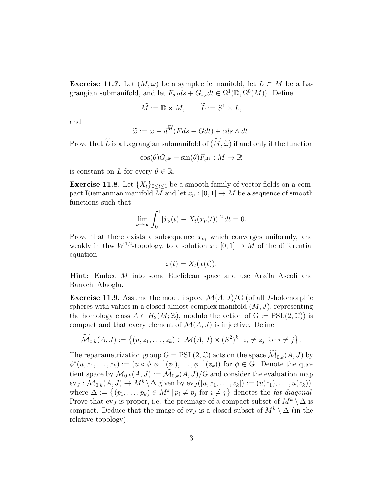**Exercise 11.7.** Let  $(M, \omega)$  be a symplectic manifold, let  $L \subset M$  be a Lagrangian submanifold, and let  $F_{s,t}ds + G_{s,t}dt \in \Omega^1(\mathbb{D}, \Omega^0(M))$ . Define

$$
\widetilde{M} := \mathbb{D} \times M, \qquad \widetilde{L} := S^1 \times L,
$$

and

$$
\widetilde{\omega} := \omega - d^{\widetilde{M}}(Fds - Gdt) + cds \wedge dt.
$$

Prove that L is a Lagrangian submanifold of  $(M, \tilde{\omega})$  if and only if the function

$$
\cos(\theta)G_{e^{i\theta}} - \sin(\theta)F_{e^{i\theta}} : M \to \mathbb{R}
$$

is constant on L for every  $\theta \in \mathbb{R}$ .

**Exercise 11.8.** Let  $\{X_t\}_{0 \le t \le 1}$  be a smooth family of vector fields on a compact Riemannian manifold M and let  $x_{\nu} : [0, 1] \to M$  be a sequence of smooth functions such that

$$
\lim_{\nu \to \infty} \int_0^1 |\dot{x}_{\nu}(t) - X_t(x_{\nu}(t))|^2 dt = 0.
$$

Prove that there exists a subsequence  $x_{\nu_i}$  which converges uniformly, and weakly in thw  $W^{1,2}$ -topology, to a solution  $x : [0,1] \to M$  of the differential equation

$$
\dot{x}(t) = X_t(x(t)).
$$

**Hint:** Embed  $M$  into some Euclidean space and use Arz $\acute{e}$ la–Ascoli and Banach–Alaoglu.

**Exercise 11.9.** Assume the moduli space  $\mathcal{M}(A, J)/G$  (of all J-holomorphic spheres with values in a closed almost complex manifold  $(M, J)$ , representing the homology class  $A \in H_2(M; \mathbb{Z})$ , modulo the action of  $G := PSL(2, \mathbb{C})$  is compact and that every element of  $\mathcal{M}(A, J)$  is injective. Define

$$
\widetilde{\mathcal{M}}_{0,k}(A,J) := \left\{ (u, z_1, \ldots, z_k) \in \mathcal{M}(A,J) \times (S^2)^k \, | \, z_i \neq z_j \text{ for } i \neq j \right\}.
$$

The reparametrization group  $G = PSL(2, \mathbb{C})$  acts on the space  $\widetilde{\mathcal{M}}_{0,k}(A, J)$  by  $\phi^*(u, z_1, \ldots, z_k) := (u \circ \phi, \phi^{-1}(z_1), \ldots, \phi^{-1}(z_k))$  for  $\phi \in G$ . Denote the quotient space by  $\mathcal{M}_{0,k}(A, J) := \widetilde{\mathcal{M}}_{0,k}(A, J)/G$  and consider the evaluation map  $ev_J: \mathcal{M}_{0,k}(A, J) \to M^k \backslash \Delta$  given by  $ev_J([u, z_1, \ldots, z_k]) := (u(z_1), \ldots, u(z_k)),$ where  $\Delta := \{(p_1, \ldots, p_k) \in M^k \mid p_i \neq p_j \text{ for } i \neq j\}$  denotes the *fat diagonal*. Prove that ev<sub>J</sub> is proper, i.e. the preimage of a compact subset of  $M^k \setminus \Delta$  is compact. Deduce that the image of ev<sub>J</sub> is a closed subset of  $M^k \setminus \Delta$  (in the relative topology).